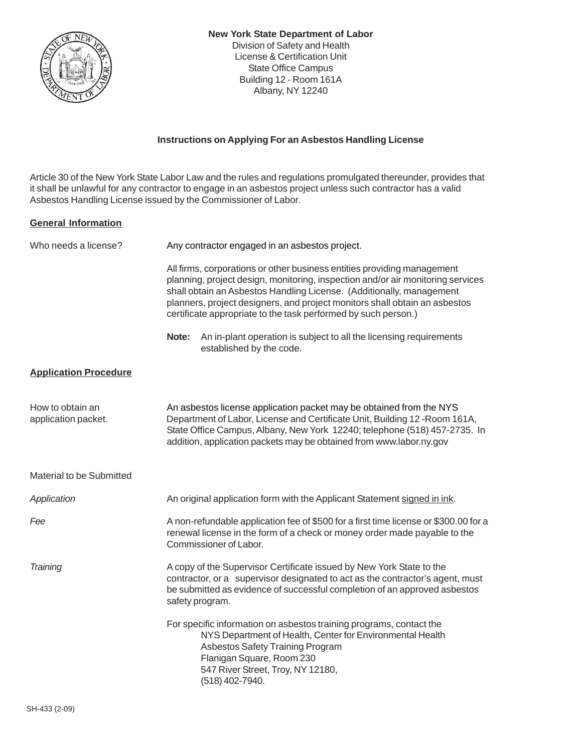

## **Instructions on Applying For an Asbestos Handling License**

Article 30 of the New York State Labor Law and the rules and regulations promulgated thereunder, provides that it shall be unlawful for any contractor to engage in an asbestos project unless such contractor has a valid Asbestos Handling License issued by the Commissioner of Labor.

## **General Information**

| Who needs a license?                    | Any contractor engaged in an asbestos project.                                                                                                                                                                                                                                                                                                                                     |
|-----------------------------------------|------------------------------------------------------------------------------------------------------------------------------------------------------------------------------------------------------------------------------------------------------------------------------------------------------------------------------------------------------------------------------------|
|                                         | All firms, corporations or other business entities providing management<br>planning, project design, monitoring, inspection and/or air monitoring services<br>shall obtain an Asbestos Handling License. (Additionally, management<br>planners, project designers, and project monitors shall obtain an asbestos<br>certificate appropriate to the task performed by such person.) |
|                                         | An in-plant operation is subject to all the licensing requirements<br>Note:<br>established by the code.                                                                                                                                                                                                                                                                            |
| <b>Application Procedure</b>            |                                                                                                                                                                                                                                                                                                                                                                                    |
| How to obtain an<br>application packet. | An asbestos license application packet may be obtained from the NYS<br>Department of Labor, License and Certificate Unit, Building 12-Room 161A,<br>State Office Campus, Albany, New York 12240; telephone (518) 457-2735. In<br>addition, application packets may be obtained from www.labor.ny.gov                                                                               |
| Material to be Submitted                |                                                                                                                                                                                                                                                                                                                                                                                    |
| Application                             | An original application form with the Applicant Statement signed in ink.                                                                                                                                                                                                                                                                                                           |
| Fee                                     | A non-refundable application fee of \$500 for a first time license or \$300.00 for a<br>renewal license in the form of a check or money order made payable to the<br>Commissioner of Labor.                                                                                                                                                                                        |
| Training                                | A copy of the Supervisor Certificate issued by New York State to the<br>contractor, or a supervisor designated to act as the contractor's agent, must<br>be submitted as evidence of successful completion of an approved asbestos<br>safety program.                                                                                                                              |
|                                         | For specific information on asbestos training programs, contact the<br>NYS Department of Health, Center for Environmental Health<br>Asbestos Safety Training Program<br>Flanigan Square, Room 230<br>547 River Street, Troy, NY 12180,<br>(518) 402-7940.                                                                                                                          |